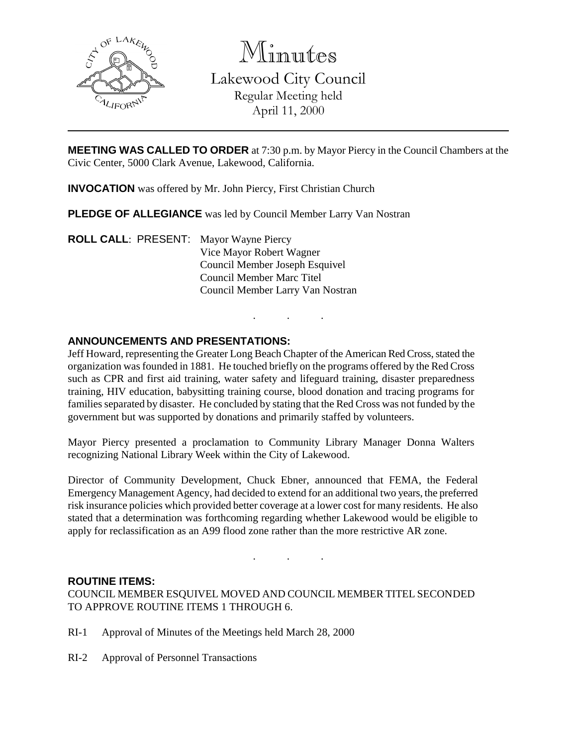

Minutes

Lakewood City Council Regular Meeting held April 11, 2000

**MEETING WAS CALLED TO ORDER** at 7:30 p.m. by Mayor Piercy in the Council Chambers at the Civic Center, 5000 Clark Avenue, Lakewood, California.

**INVOCATION** was offered by Mr. John Piercy, First Christian Church

**PLEDGE OF ALLEGIANCE** was led by Council Member Larry Van Nostran

**ROLL CALL**: PRESENT: Mayor Wayne Piercy Vice Mayor Robert Wagner Council Member Joseph Esquivel Council Member Marc Titel Council Member Larry Van Nostran

## **ANNOUNCEMENTS AND PRESENTATIONS:**

Jeff Howard, representing the Greater Long Beach Chapter of the American Red Cross, stated the organization was founded in 1881. He touched briefly on the programs offered by the Red Cross such as CPR and first aid training, water safety and lifeguard training, disaster preparedness training, HIV education, babysitting training course, blood donation and tracing programs for families separated by disaster. He concluded by stating that the Red Cross was not funded by the government but was supported by donations and primarily staffed by volunteers.

. . .

Mayor Piercy presented a proclamation to Community Library Manager Donna Walters recognizing National Library Week within the City of Lakewood.

Director of Community Development, Chuck Ebner, announced that FEMA, the Federal Emergency Management Agency, had decided to extend for an additional two years, the preferred risk insurance policies which provided better coverage at a lower cost for many residents. He also stated that a determination was forthcoming regarding whether Lakewood would be eligible to apply for reclassification as an A99 flood zone rather than the more restrictive AR zone.

. . .

### **ROUTINE ITEMS:**

COUNCIL MEMBER ESQUIVEL MOVED AND COUNCIL MEMBER TITEL SECONDED TO APPROVE ROUTINE ITEMS 1 THROUGH 6.

- RI-1 Approval of Minutes of the Meetings held March 28, 2000
- RI-2 Approval of Personnel Transactions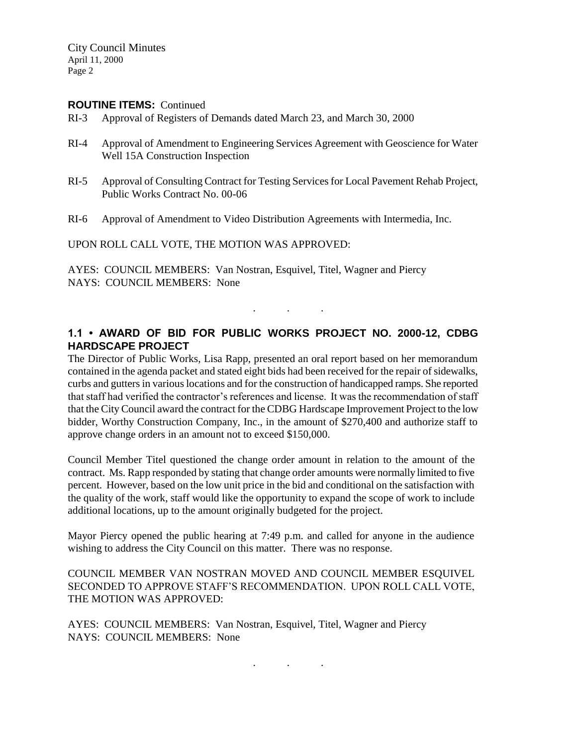City Council Minutes April 11, 2000 Page 2

#### **ROUTINE ITEMS:** Continued

- RI-3 Approval of Registers of Demands dated March 23, and March 30, 2000
- RI-4 Approval of Amendment to Engineering Services Agreement with Geoscience for Water Well 15A Construction Inspection
- RI-5 Approval of Consulting Contract for Testing Services for Local Pavement Rehab Project, Public Works Contract No. 00-06
- RI-6 Approval of Amendment to Video Distribution Agreements with Intermedia, Inc.

UPON ROLL CALL VOTE, THE MOTION WAS APPROVED:

AYES: COUNCIL MEMBERS: Van Nostran, Esquivel, Titel, Wagner and Piercy NAYS: COUNCIL MEMBERS: None

# **1.1 • AWARD OF BID FOR PUBLIC WORKS PROJECT NO. 2000-12, CDBG HARDSCAPE PROJECT**

. . .

The Director of Public Works, Lisa Rapp, presented an oral report based on her memorandum contained in the agenda packet and stated eight bids had been received for the repair of sidewalks, curbs and gutters in various locations and for the construction of handicapped ramps. She reported that staff had verified the contractor's references and license. It was the recommendation of staff that the City Council award the contract for the CDBG Hardscape Improvement Project to the low bidder, Worthy Construction Company, Inc., in the amount of \$270,400 and authorize staff to approve change orders in an amount not to exceed \$150,000.

Council Member Titel questioned the change order amount in relation to the amount of the contract. Ms. Rapp responded by stating that change order amounts were normally limited to five percent. However, based on the low unit price in the bid and conditional on the satisfaction with the quality of the work, staff would like the opportunity to expand the scope of work to include additional locations, up to the amount originally budgeted for the project.

Mayor Piercy opened the public hearing at 7:49 p.m. and called for anyone in the audience wishing to address the City Council on this matter. There was no response.

#### COUNCIL MEMBER VAN NOSTRAN MOVED AND COUNCIL MEMBER ESQUIVEL SECONDED TO APPROVE STAFF'S RECOMMENDATION. UPON ROLL CALL VOTE, THE MOTION WAS APPROVED:

. . .

AYES: COUNCIL MEMBERS: Van Nostran, Esquivel, Titel, Wagner and Piercy NAYS: COUNCIL MEMBERS: None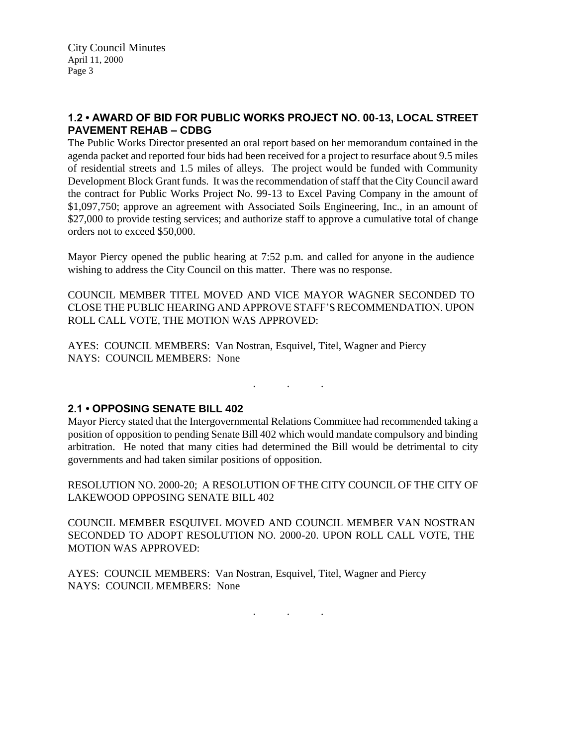## **1.2 • AWARD OF BID FOR PUBLIC WORKS PROJECT NO. 00-13, LOCAL STREET PAVEMENT REHAB – CDBG**

The Public Works Director presented an oral report based on her memorandum contained in the agenda packet and reported four bids had been received for a project to resurface about 9.5 miles of residential streets and 1.5 miles of alleys. The project would be funded with Community Development Block Grant funds. It was the recommendation of staff that the City Council award the contract for Public Works Project No. 99-13 to Excel Paving Company in the amount of \$1,097,750; approve an agreement with Associated Soils Engineering, Inc., in an amount of \$27,000 to provide testing services; and authorize staff to approve a cumulative total of change orders not to exceed \$50,000.

Mayor Piercy opened the public hearing at 7:52 p.m. and called for anyone in the audience wishing to address the City Council on this matter. There was no response.

COUNCIL MEMBER TITEL MOVED AND VICE MAYOR WAGNER SECONDED TO CLOSE THE PUBLIC HEARING AND APPROVE STAFF'S RECOMMENDATION. UPON ROLL CALL VOTE, THE MOTION WAS APPROVED:

AYES: COUNCIL MEMBERS: Van Nostran, Esquivel, Titel, Wagner and Piercy NAYS: COUNCIL MEMBERS: None

 $\mathcal{L}^{\mathcal{L}}$  . The simple state  $\mathcal{L}^{\mathcal{L}}$ 

### **2.1 • OPPOSING SENATE BILL 402**

Mayor Piercy stated that the Intergovernmental Relations Committee had recommended taking a position of opposition to pending Senate Bill 402 which would mandate compulsory and binding arbitration. He noted that many cities had determined the Bill would be detrimental to city governments and had taken similar positions of opposition.

RESOLUTION NO. 2000-20; A RESOLUTION OF THE CITY COUNCIL OF THE CITY OF LAKEWOOD OPPOSING SENATE BILL 402

COUNCIL MEMBER ESQUIVEL MOVED AND COUNCIL MEMBER VAN NOSTRAN SECONDED TO ADOPT RESOLUTION NO. 2000-20. UPON ROLL CALL VOTE, THE MOTION WAS APPROVED:

AYES: COUNCIL MEMBERS: Van Nostran, Esquivel, Titel, Wagner and Piercy NAYS: COUNCIL MEMBERS: None

. . .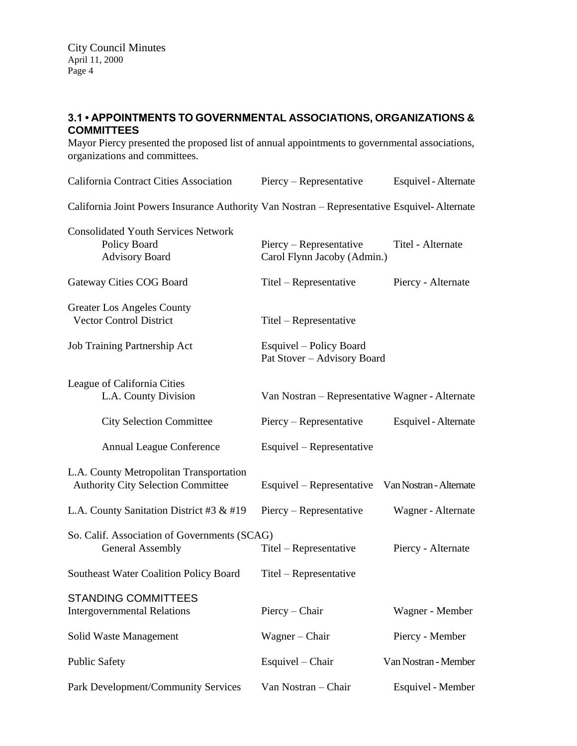## **3.1 • APPOINTMENTS TO GOVERNMENTAL ASSOCIATIONS, ORGANIZATIONS & COMMITTEES**

Mayor Piercy presented the proposed list of annual appointments to governmental associations, organizations and committees.

| California Contract Cities Association                                                      | Piercy – Representative                                | Esquivel - Alternate |
|---------------------------------------------------------------------------------------------|--------------------------------------------------------|----------------------|
| California Joint Powers Insurance Authority Van Nostran - Representative Esquivel-Alternate |                                                        |                      |
| <b>Consolidated Youth Services Network</b><br>Policy Board<br><b>Advisory Board</b>         | Piercy – Representative<br>Carol Flynn Jacoby (Admin.) | Titel - Alternate    |
| Gateway Cities COG Board                                                                    | Titel – Representative                                 | Piercy - Alternate   |
| <b>Greater Los Angeles County</b><br><b>Vector Control District</b>                         | Titel – Representative                                 |                      |
| Job Training Partnership Act                                                                | Esquivel – Policy Board<br>Pat Stover - Advisory Board |                      |
| League of California Cities<br>L.A. County Division                                         | Van Nostran – Representative Wagner - Alternate        |                      |
| <b>City Selection Committee</b>                                                             | Piercy – Representative                                | Esquivel - Alternate |
| <b>Annual League Conference</b>                                                             | Esquivel – Representative                              |                      |
| L.A. County Metropolitan Transportation<br><b>Authority City Selection Committee</b>        | Esquivel – Representative Van Nostran - Alternate      |                      |
| L.A. County Sanitation District #3 $&$ #19                                                  | Piercy – Representative                                | Wagner - Alternate   |
| So. Calif. Association of Governments (SCAG)<br><b>General Assembly</b>                     | Titel – Representative                                 | Piercy - Alternate   |
| <b>Southeast Water Coalition Policy Board</b>                                               | Titel – Representative                                 |                      |
| <b>STANDING COMMITTEES</b><br><b>Intergovernmental Relations</b>                            | Piercy – Chair                                         | Wagner - Member      |
| Solid Waste Management                                                                      | Wagner – Chair                                         | Piercy - Member      |
| <b>Public Safety</b>                                                                        | Esquivel – Chair                                       | Van Nostran - Member |
| Park Development/Community Services                                                         | Van Nostran - Chair                                    | Esquivel - Member    |